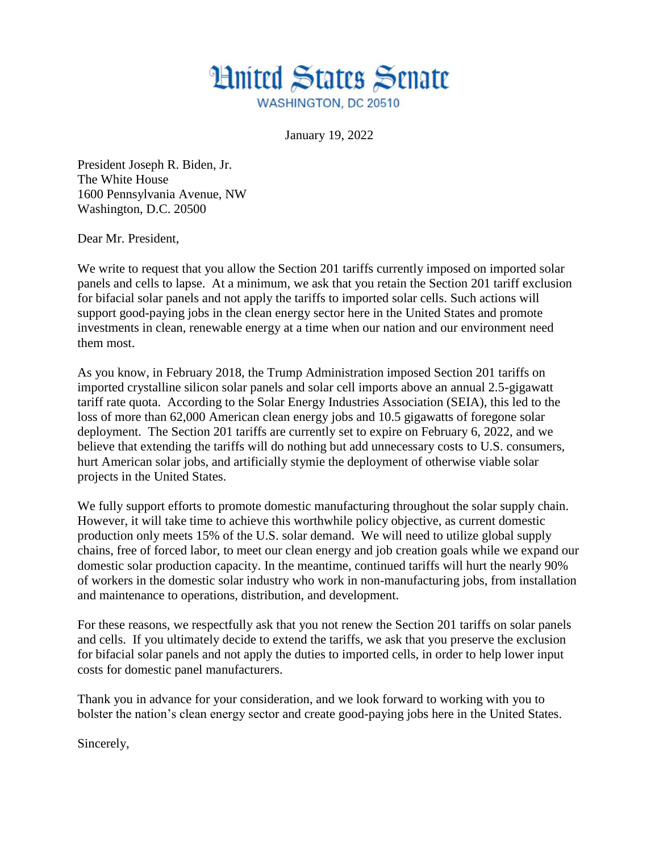

January 19, 2022

President Joseph R. Biden, Jr. The White House 1600 Pennsylvania Avenue, NW Washington, D.C. 20500

Dear Mr. President,

We write to request that you allow the Section 201 tariffs currently imposed on imported solar panels and cells to lapse. At a minimum, we ask that you retain the Section 201 tariff exclusion for bifacial solar panels and not apply the tariffs to imported solar cells. Such actions will support good-paying jobs in the clean energy sector here in the United States and promote investments in clean, renewable energy at a time when our nation and our environment need them most.

As you know, in February 2018, the Trump Administration imposed Section 201 tariffs on imported crystalline silicon solar panels and solar cell imports above an annual 2.5-gigawatt tariff rate quota. According to the Solar Energy Industries Association (SEIA), this led to the loss of more than 62,000 American clean energy jobs and 10.5 gigawatts of foregone solar deployment. The Section 201 tariffs are currently set to expire on February 6, 2022, and we believe that extending the tariffs will do nothing but add unnecessary costs to U.S. consumers, hurt American solar jobs, and artificially stymie the deployment of otherwise viable solar projects in the United States.

We fully support efforts to promote domestic manufacturing throughout the solar supply chain. However, it will take time to achieve this worthwhile policy objective, as current domestic production only meets 15% of the U.S. solar demand. We will need to utilize global supply chains, free of forced labor, to meet our clean energy and job creation goals while we expand our domestic solar production capacity. In the meantime, continued tariffs will hurt the nearly 90% of workers in the domestic solar industry who work in non-manufacturing jobs, from installation and maintenance to operations, distribution, and development.

For these reasons, we respectfully ask that you not renew the Section 201 tariffs on solar panels and cells. If you ultimately decide to extend the tariffs, we ask that you preserve the exclusion for bifacial solar panels and not apply the duties to imported cells, in order to help lower input costs for domestic panel manufacturers.

Thank you in advance for your consideration, and we look forward to working with you to bolster the nation's clean energy sector and create good-paying jobs here in the United States.

Sincerely,